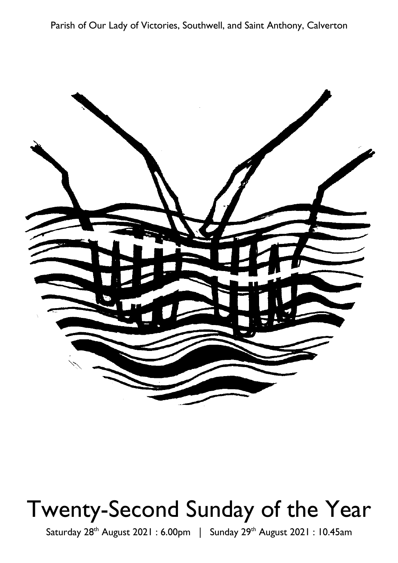Parish of Our Lady of Victories, Southwell, and Saint Anthony, Calverton



# Twenty-Second Sunday of the Year

Saturday 28<sup>th</sup> August 2021: 6.00pm | Sunday 29<sup>th</sup> August 2021: 10.45am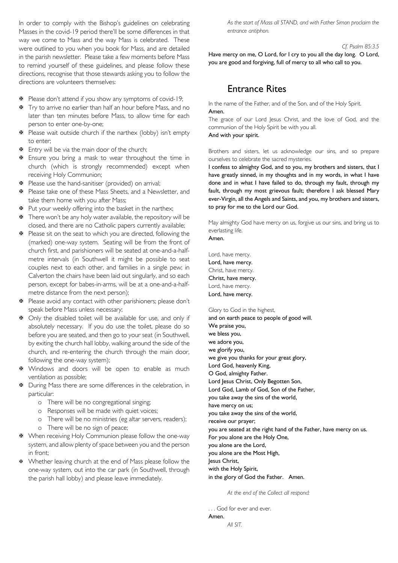In order to comply with the Bishop's guidelines on celebrating Masses in the covid-19 period there'll be some differences in that way we come to Mass and the way Mass is celebrated. These were outlined to you when you book for Mass, and are detailed in the parish newsletter. Please take a few moments before Mass to remind yourself of these guidelines, and please follow these directions, recognise that those stewards asking you to follow the directions are volunteers themselves:

- $\Phi$  Please don't attend if you show any symptoms of covid-19;
- $\overline{∗}$  Try to arrive no earlier than half an hour before Mass, and no later than ten minutes before Mass, to allow time for each person to enter one-by-one;
- **※** Please wait outside church if the narthex (lobby) isn't empty to enter:
- $\Phi$  Entry will be via the main door of the church;
- $\overline{v}$  Ensure you bring a mask to wear throughout the time in church (which is strongly recommended) except when receiving Holy Communion;
- $\Phi$  Please use the hand-sanitiser (provided) on arrival;
- **※** Please take one of these Mass Sheets, and a Newsletter, and take them home with you after Mass;
- $\Phi$  Put your weekly offering into the basket in the narthex;
- $\overline{∗}$  There won't be any holy water available, the repository will be closed, and there are no Catholic papers currently available;
- $\Phi$  Please sit on the seat to which you are directed, following the (marked) one-way system. Seating will be from the front of church first, and parishioners will be seated at one-and-a-halfmetre intervals (in Southwell it might be possible to seat couples next to each other, and families in a single pew; in Calverton the chairs have been laid out singularly, and so each person, except for babes-in-arms, will be at a one-and-a-halfmetre distance from the next person);
- $\overline{∗}$  Please avoid any contact with other parishioners; please don't speak before Mass unless necessary;
- $\Phi$  Only the disabled toilet will be available for use, and only if absolutely necessary. If you do use the toilet, please do so before you are seated, and then go to your seat (in Southwell, by exiting the church hall lobby, walking around the side of the church, and re-entering the church through the main door, following the one-way system);
- \* Windows and doors will be open to enable as much ventilation as possible;
- $\Phi$  During Mass there are some differences in the celebration, in particular:
	- o There will be no congregational singing;
	- o Responses will be made with quiet voices;
	- o There will be no ministries (eg altar servers, readers);
	- o There will be no sign of peace;
- ₩ When receiving Holy Communion please follow the one-way system, and allow plenty of space between you and the person in front:
- \* Whether leaving church at the end of Mass please follow the one-way system, out into the car park (in Southwell, through the parish hall lobby) and please leave immediately.

As the start of Mass all STAND, and with Father Simon proclaim the entrance antiphon.

#### Cf. Psalm 85:3.5

Have mercy on me, O Lord, for I cry to you all the day long. O Lord, you are good and forgiving, full of mercy to all who call to you.

## **Entrance Rites**

In the name of the Father, and of the Son, and of the Holy Spirit. Amen

The grace of our Lord Jesus Christ, and the love of God, and the communion of the Holy Spirit be with you all.

And with your spirit.

Brothers and sisters, let us acknowledge our sins, and so prepare ourselves to celebrate the sacred mysteries.

I confess to almighty God, and to you, my brothers and sisters, that I have greatly sinned, in my thoughts and in my words, in what I have done and in what I have failed to do, through my fault, through my fault, through my most grievous fault; therefore I ask blessed Mary ever-Virgin, all the Angels and Saints, and you, my brothers and sisters, to pray for me to the Lord our God.

May almighty God have mercy on us, forgive us our sins, and bring us to everlasting life.

Amen.

Lord, have mercy. Lord, have mercy. Christ, have mercy. Christ, have mercy. Lord, have mercy. Lord, have mercy.

Glory to God in the highest,

and on earth peace to people of good will. We praise you, we bless you, we adore you, we glorify you, we give you thanks for your great glory, Lord God, heavenly King, O God, almighty Father. Lord Jesus Christ, Only Begotten Son, Lord God, Lamb of God, Son of the Father, you take away the sins of the world, have mercy on us; you take away the sins of the world, receive our prayer; you are seated at the right hand of the Father, have mercy on us. For you alone are the Holy One, you alone are the Lord, you alone are the Most High, lesus Christ, with the Holy Spirit, in the glory of God the Father. Amen.

At the end of the Collect all respond:

... God for ever and ever. Amen. All SIT.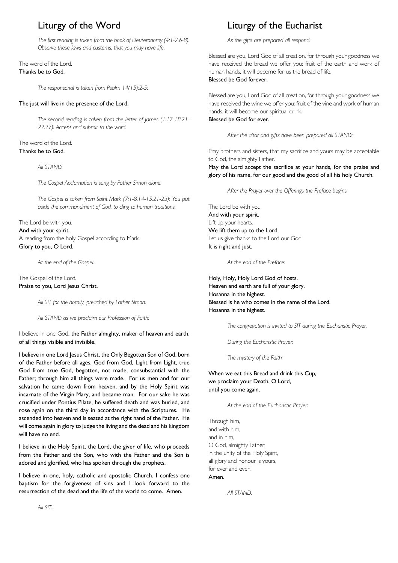# Liturgy of the Word

The first reading is taken from the book of Deuteronomy (4:1-2.6-8): Observe these laws and customs, that you may have life.

#### The word of the Lord. Thanks be to God.

The responsorial is taken from Psalm 14(15):2-5:

#### The just will live in the presence of the Lord.

The second reading is taken from the letter of James (1:17-18.21-22.27): Accept and submit to the word.

#### The word of the Lord. Thanks be to God.

All STAND.

The Gospel Acclamation is sung by Father Simon alone.

The Gospel is taken from Saint Mark (7:1-8.14-15.21-23): You put aside the commandment of God, to cling to human traditions.

### The Lord be with you. And with your spirit. A reading from the holy Gospel according to Mark. Glory to you, O Lord.

At the end of the Gospel:

### The Gospel of the Lord. Praise to you, Lord Jesus Christ.

All SIT for the homily, preached by Father Simon.

All STAND as we proclaim our Profession of Faith:

I believe in one God, the Father almighty, maker of heaven and earth, of all things visible and invisible.

I believe in one Lord Jesus Christ, the Only Begotten Son of God, born of the Father before all ages. God from God, Light from Light, true God from true God, begotten, not made, consubstantial with the Father; through him all things were made. For us men and for our salvation he came down from heaven, and by the Holy Spirit was incarnate of the Virgin Mary, and became man. For our sake he was crucified under Pontius Pilate, he suffered death and was buried, and rose again on the third day in accordance with the Scriptures. He ascended into heaven and is seated at the right hand of the Father. He will come again in glory to judge the living and the dead and his kingdom will have no end.

I believe in the Holy Spirit, the Lord, the giver of life, who proceeds from the Father and the Son, who with the Father and the Son is adored and glorified, who has spoken through the prophets.

I believe in one, holy, catholic and apostolic Church. I confess one baptism for the forgiveness of sins and I look forward to the resurrection of the dead and the life of the world to come. Amen.

# Liturgy of the Eucharist

As the gifts are prepared all respond:

Blessed are you, Lord God of all creation, for through your goodness we have received the bread we offer you: fruit of the earth and work of human hands, it will become for us the bread of life. Blessed he God forever

Blessed are you, Lord God of all creation, for through your goodness we have received the wine we offer you: fruit of the vine and work of human hands, it will become our spiritual drink. Blessed be God for ever.

After the altar and gifts have been prepared all STAND:

Pray brothers and sisters, that my sacrifice and yours may be acceptable to God, the almighty Father.

May the Lord accept the sacrifice at your hands, for the praise and glory of his name, for our good and the good of all his holy Church.

After the Prayer over the Offerings the Preface begins:

The Lord be with you. And with your spirit. Lift up your hearts. We lift them up to the Lord. Let us give thanks to the Lord our God. It is right and just.

At the end of the Preface:

Holy, Holy, Holy Lord God of hosts. Heaven and earth are full of your glory. Hosanna in the highest. Blessed is he who comes in the name of the Lord. Hosanna in the highest.

The congregation is invited to SIT during the Eucharistic Praver.

During the Eucharistic Prayer.

The mystery of the Faith:

When we eat this Bread and drink this Cup. we proclaim your Death, O Lord, until you come again.

At the end of the Eucharistic Prayer:

Through him. and with him. and in him. O God, almighty Father, in the unity of the Holy Spirit, all glory and honour is yours, for ever and ever. Amen.

**AII STAND**